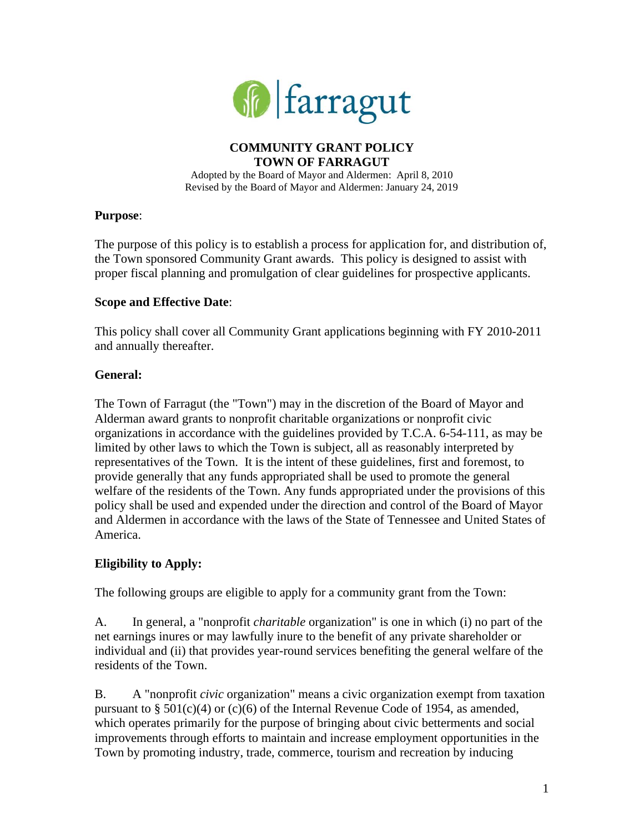

## **COMMUNITY GRANT POLICY TOWN OF FARRAGUT**

Adopted by the Board of Mayor and Aldermen: April 8, 2010 Revised by the Board of Mayor and Aldermen: January 24, 2019

### **Purpose**:

The purpose of this policy is to establish a process for application for, and distribution of, the Town sponsored Community Grant awards. This policy is designed to assist with proper fiscal planning and promulgation of clear guidelines for prospective applicants.

### **Scope and Effective Date**:

This policy shall cover all Community Grant applications beginning with FY 2010-2011 and annually thereafter.

### **General:**

The Town of Farragut (the "Town") may in the discretion of the Board of Mayor and Alderman award grants to nonprofit charitable organizations or nonprofit civic organizations in accordance with the guidelines provided by T.C.A. 6-54-111, as may be limited by other laws to which the Town is subject, all as reasonably interpreted by representatives of the Town. It is the intent of these guidelines, first and foremost, to provide generally that any funds appropriated shall be used to promote the general welfare of the residents of the Town. Any funds appropriated under the provisions of this policy shall be used and expended under the direction and control of the Board of Mayor and Aldermen in accordance with the laws of the State of Tennessee and United States of America.

### **Eligibility to Apply:**

The following groups are eligible to apply for a community grant from the Town:

A. In general, a "nonprofit *charitable* organization" is one in which (i) no part of the net earnings inures or may lawfully inure to the benefit of any private shareholder or individual and (ii) that provides year-round services benefiting the general welfare of the residents of the Town.

B. A "nonprofit *civic* organization" means a civic organization exempt from taxation pursuant to  $\S 501(c)(4)$  or (c)(6) of the Internal Revenue Code of 1954, as amended, which operates primarily for the purpose of bringing about civic betterments and social improvements through efforts to maintain and increase employment opportunities in the Town by promoting industry, trade, commerce, tourism and recreation by inducing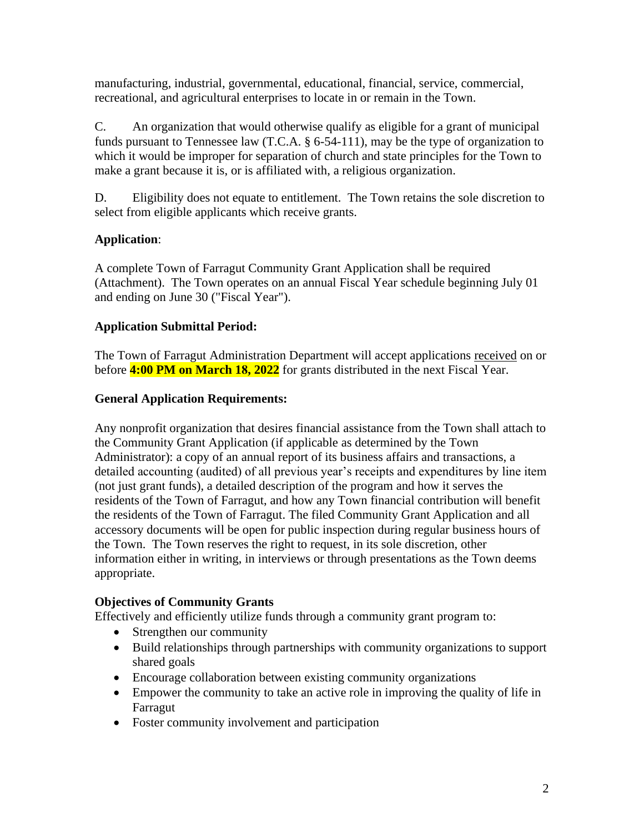manufacturing, industrial, governmental, educational, financial, service, commercial, recreational, and agricultural enterprises to locate in or remain in the Town.

C. An organization that would otherwise qualify as eligible for a grant of municipal funds pursuant to Tennessee law (T.C.A. § 6-54-111), may be the type of organization to which it would be improper for separation of church and state principles for the Town to make a grant because it is, or is affiliated with, a religious organization.

D. Eligibility does not equate to entitlement. The Town retains the sole discretion to select from eligible applicants which receive grants.

# **Application**:

A complete Town of Farragut Community Grant Application shall be required (Attachment). The Town operates on an annual Fiscal Year schedule beginning July 01 and ending on June 30 ("Fiscal Year").

### **Application Submittal Period:**

The Town of Farragut Administration Department will accept applications received on or before **4:00 PM on March 18, 2022** for grants distributed in the next Fiscal Year.

## **General Application Requirements:**

Any nonprofit organization that desires financial assistance from the Town shall attach to the Community Grant Application (if applicable as determined by the Town Administrator): a copy of an annual report of its business affairs and transactions, a detailed accounting (audited) of all previous year's receipts and expenditures by line item (not just grant funds), a detailed description of the program and how it serves the residents of the Town of Farragut, and how any Town financial contribution will benefit the residents of the Town of Farragut. The filed Community Grant Application and all accessory documents will be open for public inspection during regular business hours of the Town. The Town reserves the right to request, in its sole discretion, other information either in writing, in interviews or through presentations as the Town deems appropriate.

### **Objectives of Community Grants**

Effectively and efficiently utilize funds through a community grant program to:

- Strengthen our community
- Build relationships through partnerships with community organizations to support shared goals
- Encourage collaboration between existing community organizations
- Empower the community to take an active role in improving the quality of life in Farragut
- Foster community involvement and participation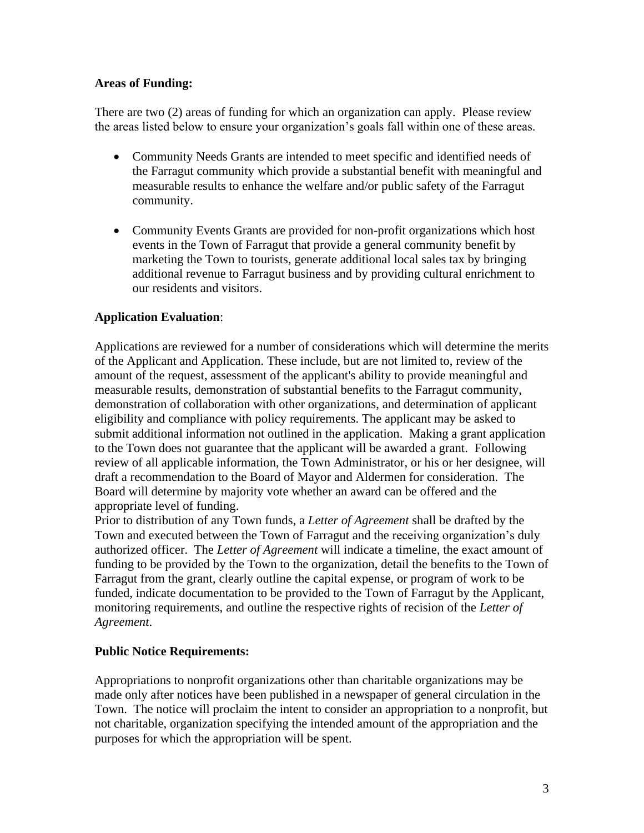### **Areas of Funding:**

There are two (2) areas of funding for which an organization can apply. Please review the areas listed below to ensure your organization's goals fall within one of these areas.

- Community Needs Grants are intended to meet specific and identified needs of the Farragut community which provide a substantial benefit with meaningful and measurable results to enhance the welfare and/or public safety of the Farragut community.
- Community Events Grants are provided for non-profit organizations which host events in the Town of Farragut that provide a general community benefit by marketing the Town to tourists, generate additional local sales tax by bringing additional revenue to Farragut business and by providing cultural enrichment to our residents and visitors.

### **Application Evaluation**:

Applications are reviewed for a number of considerations which will determine the merits of the Applicant and Application. These include, but are not limited to, review of the amount of the request, assessment of the applicant's ability to provide meaningful and measurable results, demonstration of substantial benefits to the Farragut community, demonstration of collaboration with other organizations, and determination of applicant eligibility and compliance with policy requirements. The applicant may be asked to submit additional information not outlined in the application. Making a grant application to the Town does not guarantee that the applicant will be awarded a grant. Following review of all applicable information, the Town Administrator, or his or her designee, will draft a recommendation to the Board of Mayor and Aldermen for consideration. The Board will determine by majority vote whether an award can be offered and the appropriate level of funding.

Prior to distribution of any Town funds, a *Letter of Agreement* shall be drafted by the Town and executed between the Town of Farragut and the receiving organization's duly authorized officer. The *Letter of Agreement* will indicate a timeline, the exact amount of funding to be provided by the Town to the organization, detail the benefits to the Town of Farragut from the grant, clearly outline the capital expense, or program of work to be funded, indicate documentation to be provided to the Town of Farragut by the Applicant, monitoring requirements, and outline the respective rights of recision of the *Letter of Agreement*.

### **Public Notice Requirements:**

Appropriations to nonprofit organizations other than charitable organizations may be made only after notices have been published in a newspaper of general circulation in the Town. The notice will proclaim the intent to consider an appropriation to a nonprofit, but not charitable, organization specifying the intended amount of the appropriation and the purposes for which the appropriation will be spent.